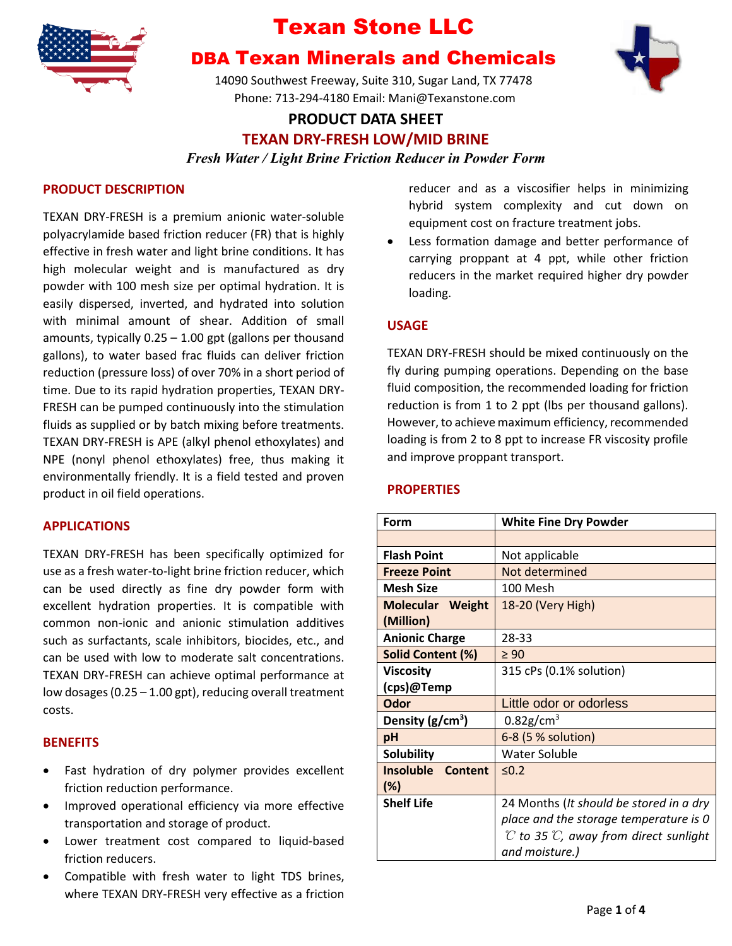

# DBA Texan Minerals and Chemicals

14090 Southwest Freeway, Suite 310, Sugar Land, TX 77478 Phone: 713-294-4180 Email: Mani@Texanstone.com



## **PRODUCT DATA SHEET TEXAN DRY-FRESH LOW/MID BRINE** *Fresh Water / Light Brine Friction Reducer in Powder Form*

### **PRODUCT DESCRIPTION**

TEXAN DRY-FRESH is a premium anionic water-soluble polyacrylamide based friction reducer (FR) that is highly effective in fresh water and light brine conditions. It has high molecular weight and is manufactured as dry powder with 100 mesh size per optimal hydration. It is easily dispersed, inverted, and hydrated into solution with minimal amount of shear. Addition of small amounts, typically 0.25 – 1.00 gpt (gallons per thousand gallons), to water based frac fluids can deliver friction reduction (pressure loss) of over 70% in a short period of time. Due to its rapid hydration properties, TEXAN DRY-FRESH can be pumped continuously into the stimulation fluids as supplied or by batch mixing before treatments. TEXAN DRY-FRESH is APE (alkyl phenol ethoxylates) and NPE (nonyl phenol ethoxylates) free, thus making it environmentally friendly. It is a field tested and proven product in oil field operations.

#### **APPLICATIONS**

TEXAN DRY-FRESH has been specifically optimized for use as a fresh water-to-light brine friction reducer, which can be used directly as fine dry powder form with excellent hydration properties. It is compatible with common non-ionic and anionic stimulation additives such as surfactants, scale inhibitors, biocides, etc., and can be used with low to moderate salt concentrations. TEXAN DRY-FRESH can achieve optimal performance at low dosages (0.25 – 1.00 gpt), reducing overall treatment costs.

#### **BENEFITS**

- Fast hydration of dry polymer provides excellent friction reduction performance.
- Improved operational efficiency via more effective transportation and storage of product.
- Lower treatment cost compared to liquid-based friction reducers.
- Compatible with fresh water to light TDS brines, where TEXAN DRY-FRESH very effective as a friction

reducer and as a viscosifier helps in minimizing hybrid system complexity and cut down on equipment cost on fracture treatment jobs.

Less formation damage and better performance of carrying proppant at 4 ppt, while other friction reducers in the market required higher dry powder loading.

#### **USAGE**

TEXAN DRY-FRESH should be mixed continuously on the fly during pumping operations. Depending on the base fluid composition, the recommended loading for friction reduction is from 1 to 2 ppt (lbs per thousand gallons). However, to achieve maximum efficiency, recommended loading is from 2 to 8 ppt to increase FR viscosity profile and improve proppant transport.

#### **PROPERTIES**

| Form                                 | <b>White Fine Dry Powder</b>                                |
|--------------------------------------|-------------------------------------------------------------|
|                                      |                                                             |
| <b>Flash Point</b>                   | Not applicable                                              |
| <b>Freeze Point</b>                  | Not determined                                              |
| <b>Mesh Size</b>                     | 100 Mesh                                                    |
| <b>Molecular Weight</b><br>(Million) | 18-20 (Very High)                                           |
| <b>Anionic Charge</b>                | 28-33                                                       |
| Solid Content (%)                    | $\geq 90$                                                   |
| <b>Viscosity</b>                     | 315 cPs (0.1% solution)                                     |
| (cps)@Temp                           |                                                             |
| Odor                                 | Little odor or odorless                                     |
| Density (g/cm <sup>3</sup> )         | $0.82$ g/cm <sup>3</sup>                                    |
| pH                                   | 6-8 (5 % solution)                                          |
| <b>Solubility</b>                    | Water Soluble                                               |
| <b>Insoluble Content</b><br>$(\%)$   | 50.2                                                        |
| <b>Shelf Life</b>                    | 24 Months (It should be stored in a dry                     |
|                                      | place and the storage temperature is 0                      |
|                                      | $\mathcal C$ to 35 $\mathcal C$ , away from direct sunlight |
|                                      | and moisture.)                                              |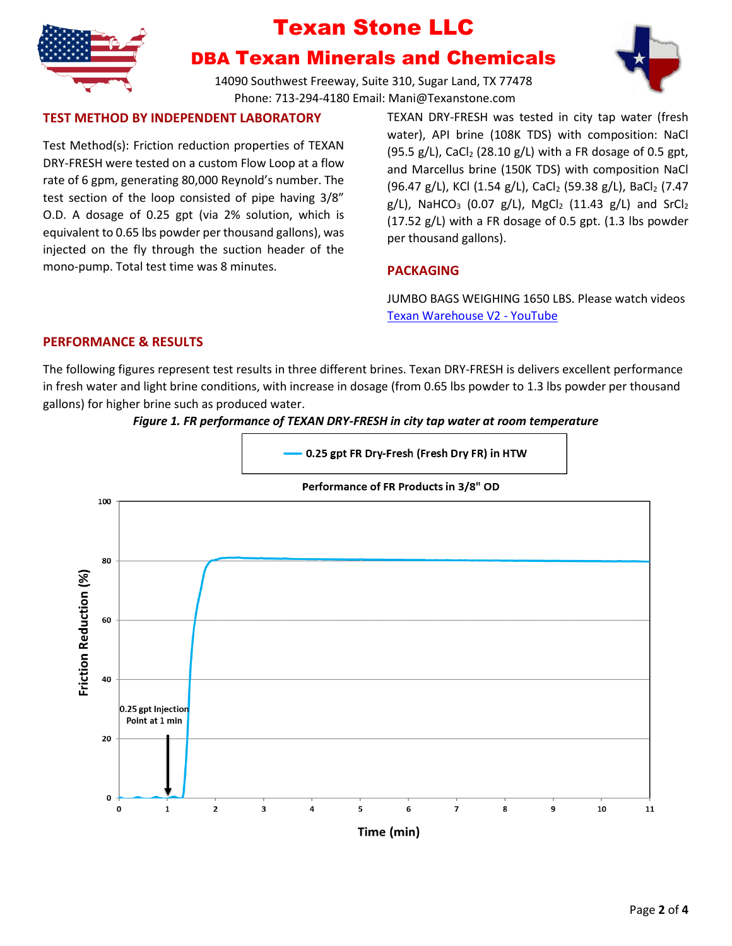

## DBA Texan Minerals and Chemicals

14090 Southwest Freeway, Suite 310, Sugar Land, TX 77478 Phone: 713-294-4180 Email: Mani@Texanstone.com

### **TEST METHOD BY INDEPENDENT LABORATORY**

Test Method(s): Friction reduction properties of TEXAN DRY-FRESH were tested on a custom Flow Loop at a flow rate of 6 gpm, generating 80,000 Reynold's number. The test section of the loop consisted of pipe having 3/8" O.D. A dosage of 0.25 gpt (via 2% solution, which is equivalent to 0.65 lbs powder per thousand gallons), was injected on the fly through the suction header of the mono-pump. Total test time was 8 minutes.

TEXAN DRY-FRESH was tested in city tap water (fresh water), API brine (108K TDS) with composition: NaCl  $(95.5 \text{ g/L})$ , CaCl<sub>2</sub> (28.10 g/L) with a FR dosage of 0.5 gpt, and Marcellus brine (150K TDS) with composition NaCl (96.47 g/L), KCl (1.54 g/L), CaCl<sub>2</sub> (59.38 g/L), BaCl<sub>2</sub> (7.47  $g/L$ ), NaHCO<sub>3</sub> (0.07  $g/L$ ), MgCl<sub>2</sub> (11.43  $g/L$ ) and SrCl<sub>2</sub> (17.52 g/L) with a FR dosage of 0.5 gpt. (1.3 lbs powder per thousand gallons).

## **PACKAGING**

JUMBO BAGS WEIGHING 1650 LBS. Please watch videos [Texan Warehouse V2 -](https://www.youtube.com/watch?v=u6ynyWfAkos) YouTube

### **PERFORMANCE & RESULTS**

The following figures represent test results in three different brines. Texan DRY-FRESH is delivers excellent performance in fresh water and light brine conditions, with increase in dosage (from 0.65 lbs powder to 1.3 lbs powder per thousand gallons) for higher brine such as produced water.



### *Figure 1. FR performance of TEXAN DRY-FRESH in city tap water at room temperature*

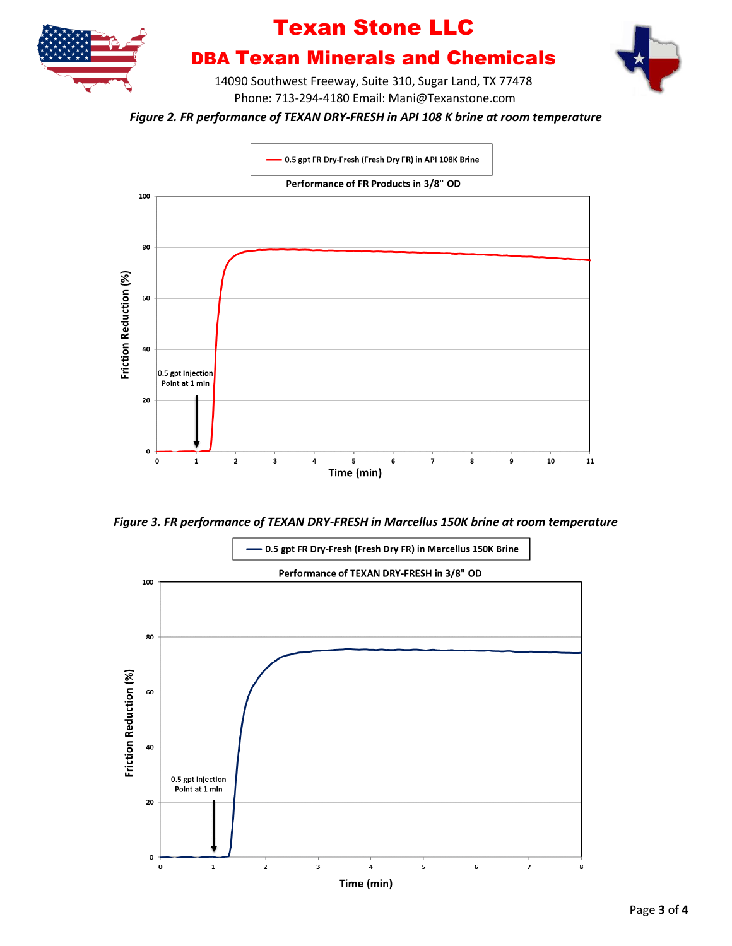

# DBA Texan Minerals and Chemicals

14090 Southwest Freeway, Suite 310, Sugar Land, TX 77478 Phone: 713-294-4180 Email: Mani@Texanstone.com

*Figure 2. FR performance of TEXAN DRY-FRESH in API 108 K brine at room temperature*



*Figure 3. FR performance of TEXAN DRY-FRESH in Marcellus 150K brine at room temperature*